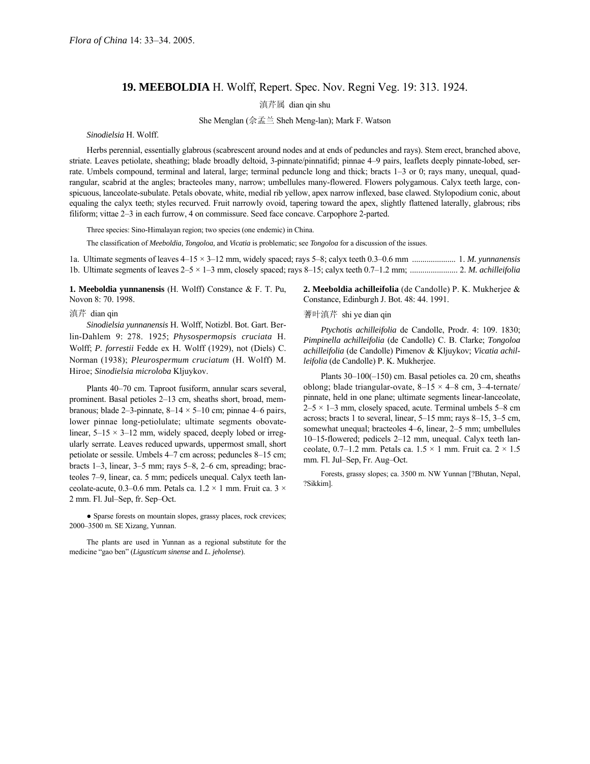## **19. MEEBOLDIA** H. Wolff, Repert. Spec. Nov. Regni Veg. 19: 313. 1924.

滇芹属 dian qin shu

She Menglan (佘孟兰 Sheh Meng-lan); Mark F. Watson

*Sinodielsia* H. Wolff.

Herbs perennial, essentially glabrous (scabrescent around nodes and at ends of peduncles and rays). Stem erect, branched above, striate. Leaves petiolate, sheathing; blade broadly deltoid, 3-pinnate/pinnatifid; pinnae 4–9 pairs, leaflets deeply pinnate-lobed, serrate. Umbels compound, terminal and lateral, large; terminal peduncle long and thick; bracts  $1-3$  or 0; rays many, unequal, quadrangular, scabrid at the angles; bracteoles many, narrow; umbellules many-flowered. Flowers polygamous. Calyx teeth large, conspicuous, lanceolate-subulate. Petals obovate, white, medial rib yellow, apex narrow inflexed, base clawed. Stylopodium conic, about equaling the calyx teeth; styles recurved. Fruit narrowly ovoid, tapering toward the apex, slightly flattened laterally, glabrous; ribs filiform; vittae 2–3 in each furrow, 4 on commissure. Seed face concave. Carpophore 2-parted.

Three species: Sino-Himalayan region; two species (one endemic) in China.

The classification of *Meeboldia, Tongoloa,* and *Vicatia* is problematic; see *Tongoloa* for a discussion of the issues.

1a. Ultimate segments of leaves  $4-15 \times 3-12$  mm, widely spaced; rays  $5-8$ ; calyx teeth 0.3–0.6 mm ........................ 1. *M. yunnanensis* 1b. Ultimate segments of leaves  $2-5 \times 1-3$  mm, closely spaced; rays 8-15; calyx teeth 0.7-1.2 mm; .............................. 2. *M. achilleifolia* 

**1. Meeboldia yunnanensis** (H. Wolff) Constance & F. T. Pu, Novon 8: 70. 1998.

*Sinodielsia yunnanensis* H. Wolff, Notizbl. Bot. Gart. Berlin-Dahlem 9: 278. 1925; *Physospermopsis cruciata* H. Wolff; *P. forrestii* Fedde ex H. Wolff (1929), not (Diels) C. Norman (1938); *Pleurospermum cruciatum* (H. Wolff) M. Hiroe; *Sinodielsia microloba* Kljuykov.

Plants 40–70 cm. Taproot fusiform, annular scars several, prominent. Basal petioles 2–13 cm, sheaths short, broad, membranous; blade 2–3-pinnate,  $8-14 \times 5-10$  cm; pinnae 4–6 pairs, lower pinnae long-petiolulate; ultimate segments obovatelinear,  $5-15 \times 3-12$  mm, widely spaced, deeply lobed or irregularly serrate. Leaves reduced upwards, uppermost small, short petiolate or sessile. Umbels 4–7 cm across; peduncles 8–15 cm; bracts  $1-3$ , linear,  $3-5$  mm; rays  $5-8$ ,  $2-6$  cm, spreading; bracteoles 7–9, linear, ca. 5 mm; pedicels unequal. Calyx teeth lanceolate-acute, 0.3–0.6 mm. Petals ca.  $1.2 \times 1$  mm. Fruit ca.  $3 \times$ 2 mm. Fl. Jul–Sep, fr. Sep–Oct.

• Sparse forests on mountain slopes, grassy places, rock crevices; 2000-3500 m. SE Xizang, Yunnan.

The plants are used in Yunnan as a regional substitute for the medicine "gao ben" (*Ligusticum sinense* and *L. jeholense*).

**2. Meeboldia achilleifolia** (de Candolle) P. K. Mukherjee & Constance, Edinburgh J. Bot. 48: 44. 1991.

滇芹 dian qin **be a compact of the compact of the compact of the a**  $\ddot{\mathbf{a}}$  and  $\ddot{\mathbf{a}}$  and  $\ddot{\mathbf{a}}$  and  $\ddot{\mathbf{a}}$  and  $\ddot{\mathbf{a}}$  and  $\ddot{\mathbf{a}}$  and  $\ddot{\mathbf{a}}$  and  $\ddot{\mathbf{a}}$  and  $\ddot{\mathbf{a}}$  and  $\ddot{\mathbf{a}}$ 

*Ptychotis achilleifolia* de Candolle, Prodr. 4: 109. 1830; *Pimpinella achilleifolia* (de Candolle) C. B. Clarke; *Tongoloa achilleifolia* (de Candolle) Pimenov & Kljuykov; *Vicatia achilleifolia* (de Candolle) P. K. Mukherjee.

Plants  $30-100(-150)$  cm. Basal petioles ca. 20 cm, sheaths oblong; blade triangular-ovate,  $8-15 \times 4-8$  cm, 3-4-ternate/ pinnate, held in one plane; ultimate segments linear-lanceolate,  $2-5 \times 1-3$  mm, closely spaced, acute. Terminal umbels 5-8 cm across; bracts 1 to several, linear,  $5-15$  mm; rays 8-15, 3-5 cm, somewhat unequal; bracteoles 4–6, linear, 2–5 mm; umbellules 10-15-flowered; pedicels 2-12 mm, unequal. Calyx teeth lanceolate, 0.7–1.2 mm. Petals ca.  $1.5 \times 1$  mm. Fruit ca.  $2 \times 1.5$ mm. Fl. Jul-Sep, Fr. Aug-Oct.

Forests, grassy slopes; ca. 3500 m. NW Yunnan [?Bhutan, Nepal, ?Sikkim].